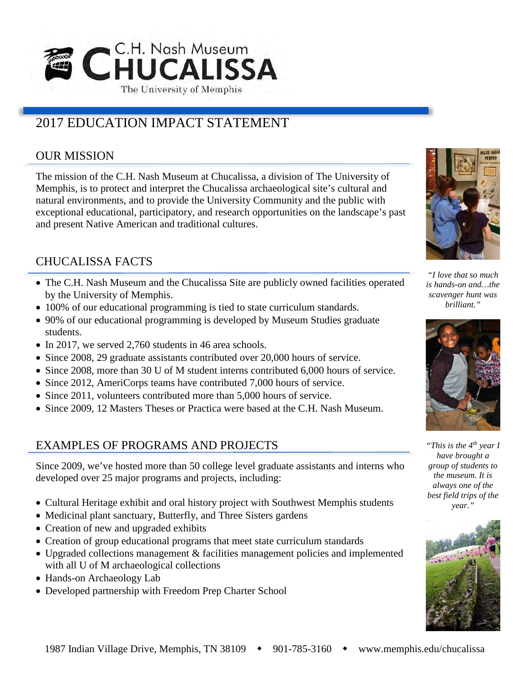

# 2017 EDUCATION IMPACT STATEMENT

### OUR MISSION

The mission of the C.H. Nash Museum at Chucalissa, a division of The University of Memphis, is to protect and interpret the Chucalissa archaeological site's cultural and natural environments, and to provide the University Community and the public with exceptional educational, participatory, and research opportunities on the landscape's past and present Native American and traditional cultures.

# CHUCALISSA FACTS

- The C.H. Nash Museum and the Chucalissa Site are publicly owned facilities operated by the University of Memphis.
- 100% of our educational programming is tied to state curriculum standards.
- 90% of our educational programming is developed by Museum Studies graduate students.
- In 2017, we served 2,760 students in 46 area schools.
- Since 2008, 29 graduate assistants contributed over 20,000 hours of service.
- Since 2008, more than 30 U of M student interns contributed 6,000 hours of service.
- Since 2012, AmeriCorps teams have contributed 7,000 hours of service.
- Since 2011, volunteers contributed more than 5,000 hours of service.
- Since 2009, 12 Masters Theses or Practica were based at the C.H. Nash Museum.

#### EXAMPLES OF PROGRAMS AND PROJECTS

Since 2009, we've hosted more than 50 college level graduate assistants and interns who developed over 25 major programs and projects, including:

- Cultural Heritage exhibit and oral history project with Southwest Memphis students
- Medicinal plant sanctuary, Butterfly, and Three Sisters gardens
- Creation of new and upgraded exhibits
- Creation of group educational programs that meet state curriculum standards
- Upgraded collections management & facilities management policies and implemented with all U of M archaeological collections
- Hands-on Archaeology Lab
- Developed partnership with Freedom Prep Charter School



*"I love that so much is hands-on and…the scavenger hunt was brilliant."*



*"This is the 4th year I have brought a group of students to the museum. It is always one of the best field trips of the year."*